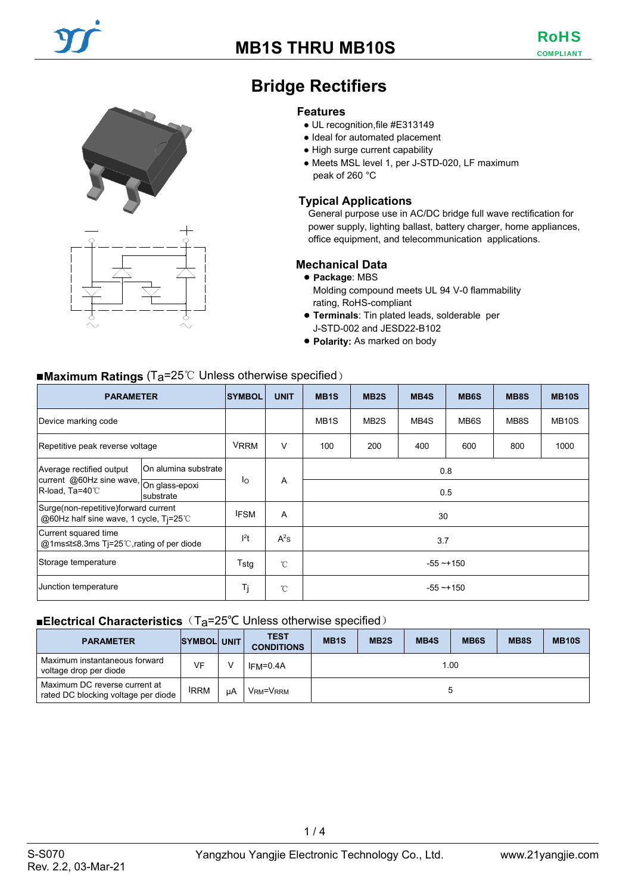



# **Bridge Rectifiers**

#### **Features**

- UL recognition,file #E313149
- Ideal for automated placement
- High surge current capability
- Meets MSL level 1, per J-STD-020, LF maximum peak of 260 °C

### **Typical Applications**

General purpose use in AC/DC bridge full wave rectification for power supply, lighting ballast, battery charger, home appliances, office equipment, and telecommunication applications.

### **Mechanical Data**

#### ● **Package**: MBS

Molding compound meets UL 94 V-0 flammability rating, RoHS-compliant

- **Terminals**: Tin plated leads, solderable per J-STD-002 and JESD22-B102
- **Polarity:** As marked on body

### ■**Maximum Ratings** (T<sub>a</sub>=25℃ Unless otherwise specified)

| <b>PARAMETER</b>                                                              |           | <b>SYMBOL</b>    | <b>UNIT</b>  | MB <sub>1</sub> S | MB <sub>2</sub> S | MB4S | MB <sub>6</sub> S | MB8S | <b>MB10S</b>       |  |
|-------------------------------------------------------------------------------|-----------|------------------|--------------|-------------------|-------------------|------|-------------------|------|--------------------|--|
| Device marking code                                                           |           |                  |              | MB <sub>1</sub> S | MB <sub>2</sub> S | MB4S | MB6S              | MB8S | MB <sub>10</sub> S |  |
| Repetitive peak reverse voltage                                               |           | <b>VRRM</b>      | V            | 100               | 200               | 400  | 600               | 800  | 1000               |  |
| <b>IOn alumina substrate</b><br>Average rectified output                      |           |                  |              | 0.8               |                   |      |                   |      |                    |  |
| current @60Hz sine wave, On glass-epoxi<br>R-load, Ta=40°C                    | substrate | lo               | A            | 0.5               |                   |      |                   |      |                    |  |
| Surge(non-repetitive)forward current<br>@60Hz half sine wave, 1 cycle, Tj=25℃ |           | <b>IFSM</b>      | A            | 30                |                   |      |                   |      |                    |  |
| Current squared time<br>@1ms≤t≤8.3ms Tj=25℃,rating of per diode               |           | l <sup>2</sup> t | $A^2s$       | 3.7               |                   |      |                   |      |                    |  |
| Storage temperature                                                           |           | Tstq             | $^{\circ}$ C | $-55 - +150$      |                   |      |                   |      |                    |  |
| Junction temperature                                                          |           | Tj               | $^{\circ}$ C | $-55 - +150$      |                   |      |                   |      |                    |  |

### ■**Electrical Characteristics** (T<sub>a</sub>=25<sup>°</sup>C Unless otherwise specified)

| <b>PARAMETER</b>                                                     | SYMBOL UNIT |        | <b>TEST</b><br><b>CONDITIONS</b> | MB <sub>1</sub> S | MB <sub>2</sub> S | MB4S | MB <sub>6</sub> S | MB8S | <b>MB10S</b> |
|----------------------------------------------------------------------|-------------|--------|----------------------------------|-------------------|-------------------|------|-------------------|------|--------------|
| Maximum instantaneous forward<br>voltage drop per diode              | VF          | $\vee$ | $IFM=0.4A$                       |                   |                   |      | 1.00              |      |              |
| Maximum DC reverse current at<br>rated DC blocking voltage per diode | <b>IRRM</b> | цA     | VRM=VRRM<br>5                    |                   |                   |      |                   |      |              |

 $1/4$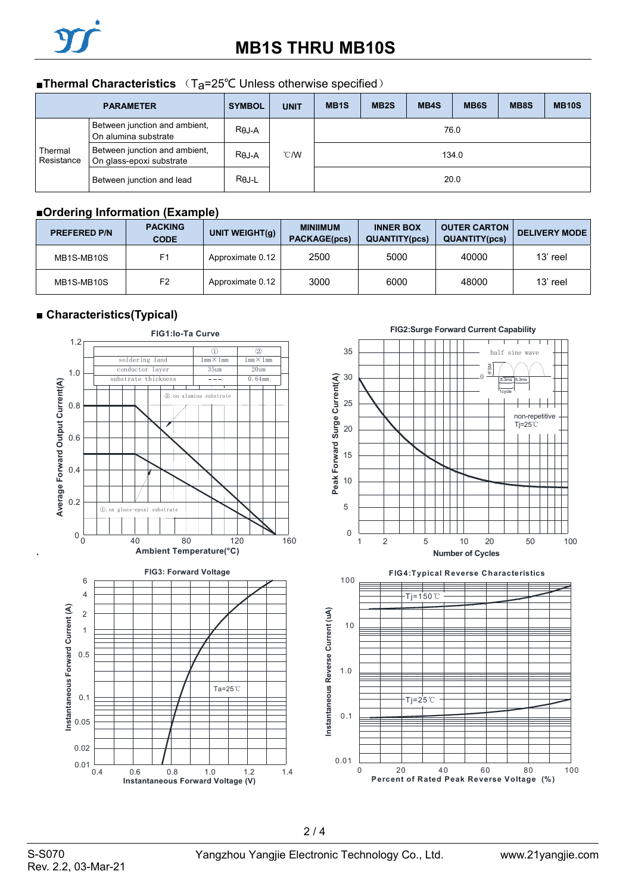

### ■**Thermal Characteristics** (Ta=25℃ Unless otherwise specified)

| <b>PARAMETER</b>                                                                   |                                                       | <b>SYMBOL</b> | <b>UNIT</b>    | MB <sub>1</sub> S | MB <sub>2</sub> S | MB4S | MB6S | MB8S | <b>MB10S</b> |
|------------------------------------------------------------------------------------|-------------------------------------------------------|---------------|----------------|-------------------|-------------------|------|------|------|--------------|
|                                                                                    | Between junction and ambient,<br>On alumina substrate | $R\theta$ J-A |                | 76.0              |                   |      |      |      |              |
| Between junction and ambient,<br>Thermal<br>Resistance<br>On glass-epoxi substrate |                                                       | $R\theta$ J-A | $^{\circ}$ C/W | 134.0             |                   |      |      |      |              |
|                                                                                    | Between junction and lead                             | $R\theta$ J-L |                |                   |                   | 20.0 |      |      |              |

### ■**Ordering Information (Example)**

| <b>PREFERED P/N</b> | <b>PACKING</b><br><b>CODE</b> | UNIT WEIGHT(q)   | <b>MINIIMUM</b><br><b>PACKAGE(pcs)</b> | <b>INNER BOX</b><br><b>QUANTITY(pcs)</b> | <b>OUTER CARTON</b><br><b>QUANTITY(pcs)</b> | <b>DELIVERY MODE</b> |
|---------------------|-------------------------------|------------------|----------------------------------------|------------------------------------------|---------------------------------------------|----------------------|
| MB1S-MB10S          | F <sub>1</sub>                | Approximate 0.12 | 2500                                   | 5000                                     | 40000                                       | 13' reel             |
| MB1S-MB10S          | F <sub>2</sub>                | Approximate 0.12 | 3000                                   | 6000                                     | 48000                                       | 13' reel             |

### ■ **Characteristics(Typical)**



`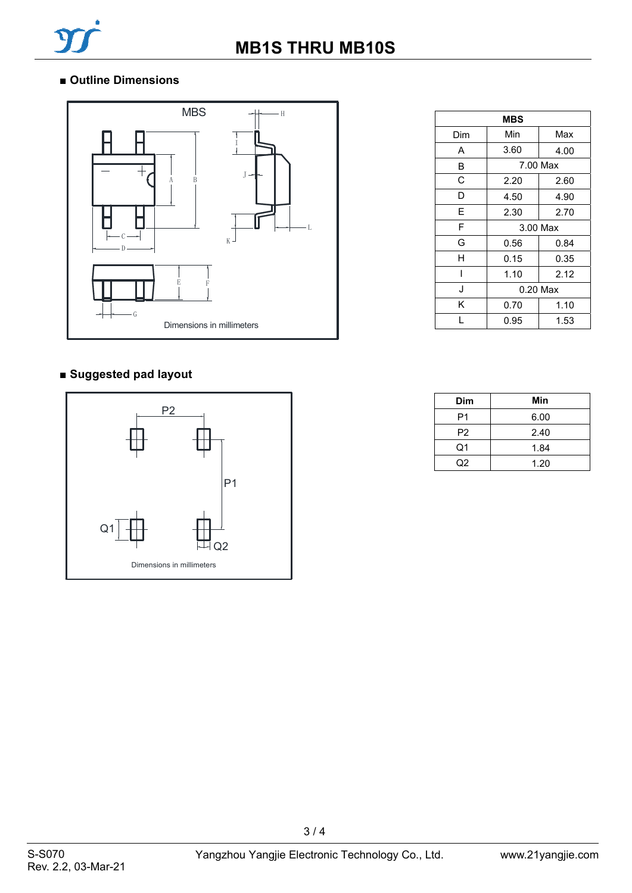

### ■ **Outline Dimensions**



### **■ Suggested pad layout**



| <b>MBS</b> |              |      |  |  |  |
|------------|--------------|------|--|--|--|
| Dim        | Min<br>Max   |      |  |  |  |
| A          | 3.60<br>4.00 |      |  |  |  |
| В          | 7.00 Max     |      |  |  |  |
| C          | 2.20         | 2.60 |  |  |  |
| D          | 4.50         | 4.90 |  |  |  |
| E          | 2.30         | 2.70 |  |  |  |
| F          | 3.00 Max     |      |  |  |  |
| G          | 0.56         | 0.84 |  |  |  |
| н          | 0.15         | 0.35 |  |  |  |
| ı          | 1.10         | 2.12 |  |  |  |
| J          | $0.20$ Max   |      |  |  |  |
| ĸ          | 0.70         | 1.10 |  |  |  |
|            | 0.95         | 1.53 |  |  |  |

| Dim            | Min  |
|----------------|------|
| P1             | 6.00 |
| P <sub>2</sub> | 2.40 |
| Q1             | 1.84 |
| റാ             | 1.20 |

3 / 4